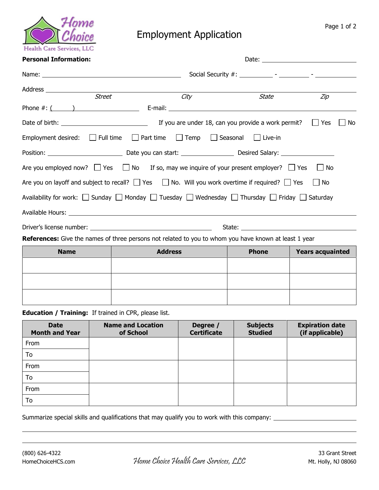

## Employment Application

## Personal Information: and the contract of the contract of the Date: contract of Date: contract of Date: contract of the contract of the contract of the contract of the contract of the contract of the contract of the contra

| Street                                                | City                                                                                                          | State        | Zip                     |  |
|-------------------------------------------------------|---------------------------------------------------------------------------------------------------------------|--------------|-------------------------|--|
|                                                       |                                                                                                               |              |                         |  |
|                                                       | If you are under 18, can you provide a work permit? $\Box$ Yes                                                |              | No<br>$\Box$            |  |
|                                                       | Employment desired: $\Box$ Full time $\Box$ Part time $\Box$ Temp $\Box$ Seasonal $\Box$ Live-in              |              |                         |  |
|                                                       |                                                                                                               |              |                         |  |
|                                                       | Are you employed now? $\Box$ Yes $\Box$ No If so, may we inquire of your present employer? $\Box$ Yes         |              | $\Box$ No               |  |
|                                                       | Are you on layoff and subject to recall? $\Box$ Yes $\Box$ No. Will you work overtime if required? $\Box$ Yes |              | No                      |  |
|                                                       | Availability for work: Sunday Sunday Sunday Sunday Sunday Sunday Sunday Sunday Sunday                         |              |                         |  |
|                                                       |                                                                                                               |              |                         |  |
|                                                       |                                                                                                               |              |                         |  |
|                                                       | <b>References:</b> Give the names of three persons not related to you to whom you have known at least 1 year  |              |                         |  |
| <b>Name</b>                                           | <b>Address</b>                                                                                                | <b>Phone</b> | <b>Years acquainted</b> |  |
|                                                       |                                                                                                               |              |                         |  |
|                                                       |                                                                                                               |              |                         |  |
|                                                       |                                                                                                               |              |                         |  |
| Education / Training: If trained in CPR, please list. |                                                                                                               |              |                         |  |

| <b>Date</b><br><b>Month and Year</b> | <b>Name and Location</b><br>of School | Degree /<br><b>Certificate</b> | <b>Subjects</b><br><b>Studied</b> | <b>Expiration date</b><br>(if applicable) |
|--------------------------------------|---------------------------------------|--------------------------------|-----------------------------------|-------------------------------------------|
| From                                 |                                       |                                |                                   |                                           |
| To                                   |                                       |                                |                                   |                                           |
| From                                 |                                       |                                |                                   |                                           |
| To                                   |                                       |                                |                                   |                                           |
| From                                 |                                       |                                |                                   |                                           |
| To                                   |                                       |                                |                                   |                                           |

Summarize special skills and qualifications that may qualify you to work with this company: \_\_\_\_\_\_\_\_\_\_\_\_\_\_\_\_\_\_